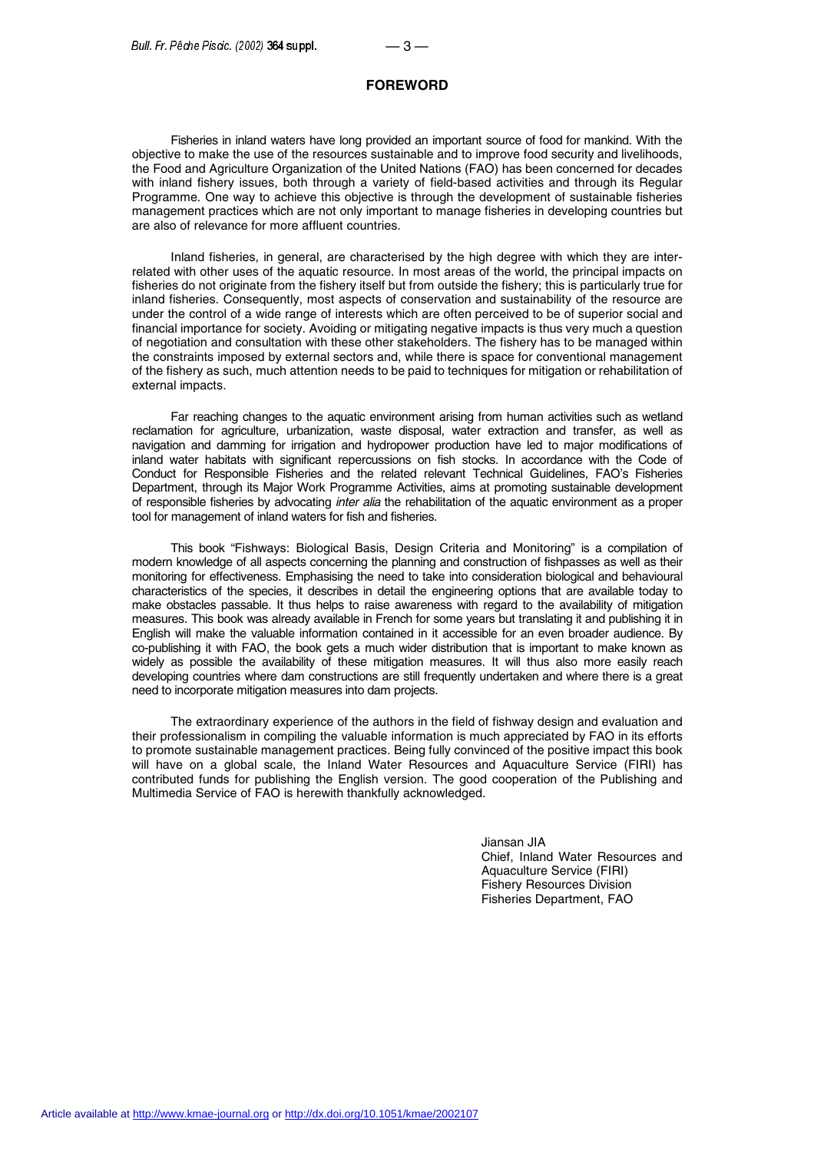#### **FOREWORD**

Fisheries in inland waters have long provided an important source of food for mankind. With the objective to make the use of the resources sustainable and to improve food security and livelihoods, the Food and Agriculture Organization of the United Nations (FAO) has been concerned for decades with inland fishery issues, both through a variety of field-based activities and through its Regular Programme. One way to achieve this objective is through the development of sustainable fisheries management practices which are not only important to manage fisheries in developing countries but are also of relevance for more affluent countries.

Inland fisheries, in general, are characterised by the high degree with which they are interrelated with other uses of the aquatic resource. In most areas of the world, the principal impacts on fisheries do not originate from the fishery itself but from outside the fishery; this is particularly true for inland fisheries. Consequently, most aspects of conservation and sustainability of the resource are under the control of a wide range of interests which are often perceived to be of superior social and financial importance for society. Avoiding or mitigating negative impacts is thus very much a question of negotiation and consultation with these other stakeholders. The fishery has to be managed within the constraints imposed by external sectors and, while there is space for conventional management of the fishery as such, much attention needs to be paid to techniques for mitigation or rehabilitation of external impacts.

Far reaching changes to the aquatic environment arising from human activities such as wetland reclamation for agriculture, urbanization, waste disposal, water extraction and transfer, as well as navigation and damming for irrigation and hydropower production have led to major modifications of inland water habitats with significant repercussions on fish stocks. In accordance with the Code of Conduct for Responsible Fisheries and the related relevant Technical Guidelines, FAO's Fisheries Department, through its Major Work Programme Activities, aims at promoting sustainable development of responsible fisheries by advocating *inter alia* the rehabilitation of the aquatic environment as a proper tool for management of inland waters for fish and fisheries.

This book "Fishways: Biological Basis, Design Criteria and Monitoring" is a compilation of modern knowledge of all aspects concerning the planning and construction of fishpasses as well as their monitoring for effectiveness. Emphasising the need to take into consideration biological and behavioural characteristics of the species, it describes in detail the engineering options that are available today to make obstacles passable. It thus helps to raise awareness with regard to the availability of mitigation measures. This book was already available in French for some years but translating it and publishing it in English will make the valuable information contained in it accessible for an even broader audience. By co-publishing it with FAO, the book gets a much wider distribution that is important to make known as widely as possible the availability of these mitigation measures. It will thus also more easily reach developing countries where dam constructions are still frequently undertaken and where there is a great need to incorporate mitigation measures into dam projects.

The extraordinary experience of the authors in the field of fishway design and evaluation and their professionalism in compiling the valuable information is much appreciated by FAO in its efforts to promote sustainable management practices. Being fully convinced of the positive impact this book will have on a global scale, the Inland Water Resources and Aquaculture Service (FIRI) has contributed funds for publishing the English version. The good cooperation of the Publishing and Multimedia Service of FAO is herewith thankfully acknowledged.

> Jiansan JIA Chief, Inland Water Resources and Aquaculture Service (FIRI) Fishery Resources Division Fisheries Department, FAO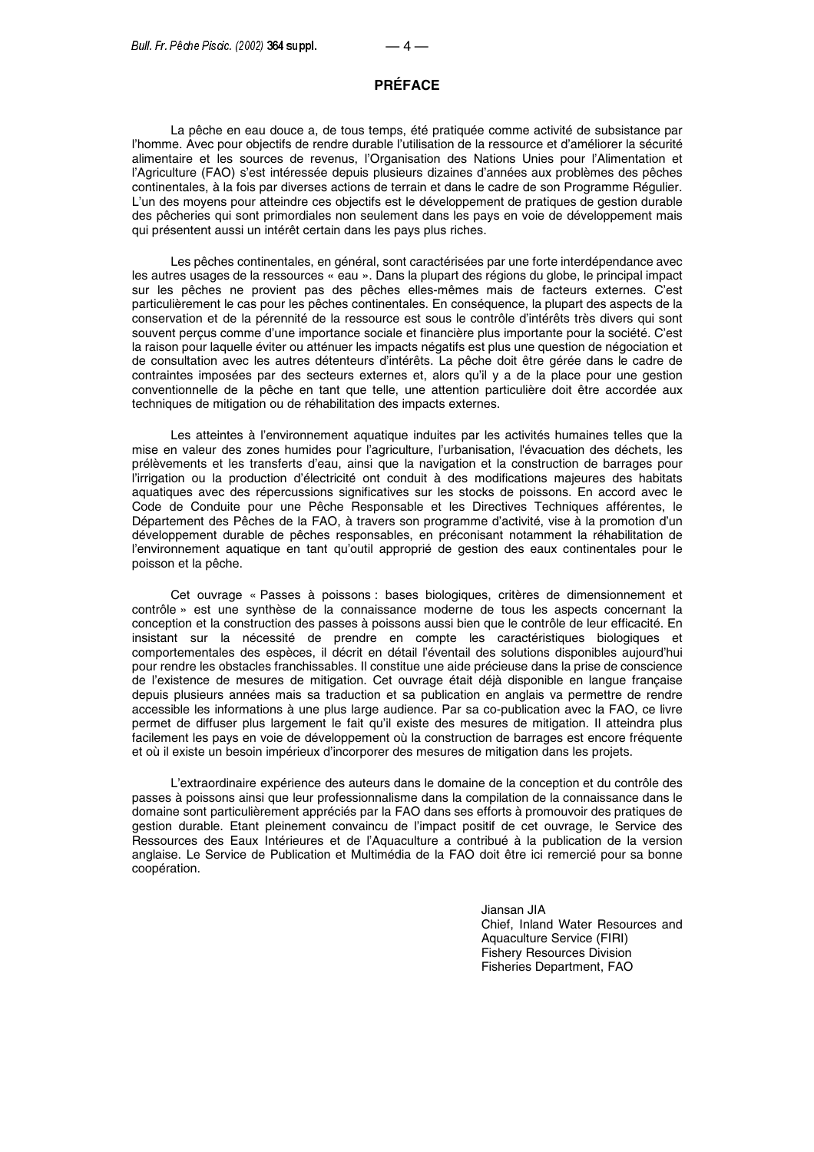# **PRÉFACE**

La pêche en eau douce a, de tous temps, été pratiquée comme activité de subsistance par l'homme. Avec pour objectifs de rendre durable l'utilisation de la ressource et d'améliorer la sécurité alimentaire et les sources de revenus, l'Organisation des Nations Unies pour l'Alimentation et l'Agriculture (FAO) s'est intéressée depuis plusieurs dizaines d'années aux problèmes des pêches continentales, à la fois par diverses actions de terrain et dans le cadre de son Programme Régulier. L'un des moyens pour atteindre ces objectifs est le développement de pratiques de gestion durable des pêcheries qui sont primordiales non seulement dans les pays en voie de développement mais qui présentent aussi un intérêt certain dans les pays plus riches.

Les pêches continentales, en général, sont caractérisées par une forte interdépendance avec les autres usages de la ressources « eau ». Dans la plupart des régions du globe, le principal impact sur les pêches ne provient pas des pêches elles-mêmes mais de facteurs externes. C'est particulièrement le cas pour les pêches continentales. En conséquence, la plupart des aspects de la conservation et de la pérennité de la ressource est sous le contrôle d'intérêts très divers qui sont souvent perçus comme d'une importance sociale et financière plus importante pour la société. C'est la raison pour laquelle éviter ou atténuer les impacts négatifs est plus une question de négociation et de consultation avec les autres détenteurs d'intérêts. La pêche doit être gérée dans le cadre de contraintes imposées par des secteurs externes et, alors qu'il y a de la place pour une gestion conventionnelle de la pêche en tant que telle, une attention particulière doit être accordée aux techniques de mitigation ou de réhabilitation des impacts externes.

Les atteintes à l'environnement aquatique induites par les activités humaines telles que la mise en valeur des zones humides pour l'agriculture, l'urbanisation, l'évacuation des déchets, les prélèvements et les transferts d'eau, ainsi que la navigation et la construction de barrages pour l'irrigation ou la production d'électricité ont conduit à des modifications majeures des habitats aquatiques avec des répercussions significatives sur les stocks de poissons. En accord avec le Code de Conduite pour une Pêche Responsable et les Directives Techniques afférentes, le Département des Pêches de la FAO, à travers son programme d'activité, vise à la promotion d'un développement durable de pêches responsables, en préconisant notamment la réhabilitation de l'environnement aquatique en tant qu'outil approprié de gestion des eaux continentales pour le poisson et la pêche.

Cet ouvrage « Passes à poissons : bases biologiques, critères de dimensionnement et contrôle » est une synthèse de la connaissance moderne de tous les aspects concernant la conception et la construction des passes à poissons aussi bien que le contrôle de leur efficacité. En insistant sur la nécessité de prendre en compte les caractéristiques biologiques et comportementales des espèces, il décrit en détail l'éventail des solutions disponibles aujourd'hui pour rendre les obstacles franchissables. Il constitue une aide précieuse dans la prise de conscience de l'existence de mesures de mitigation. Cet ouvrage était déjà disponible en langue française depuis plusieurs années mais sa traduction et sa publication en anglais va permettre de rendre accessible les informations à une plus large audience. Par sa co-publication avec la FAO, ce livre permet de diffuser plus largement le fait qu'il existe des mesures de mitigation. Il atteindra plus facilement les pays en voie de développement où la construction de barrages est encore fréquente et où il existe un besoin impérieux d'incorporer des mesures de mitigation dans les projets.

L'extraordinaire expérience des auteurs dans le domaine de la conception et du contrôle des passes à poissons ainsi que leur professionnalisme dans la compilation de la connaissance dans le domaine sont particulièrement appréciés par la FAO dans ses efforts à promouvoir des pratiques de gestion durable. Etant pleinement convaincu de l'impact positif de cet ouvrage, le Service des Ressources des Eaux Intérieures et de l'Aquaculture a contribué à la publication de la version anglaise. Le Service de Publication et Multimédia de la FAO doit être ici remercié pour sa bonne coopération.

> Jiansan JIA Chief, Inland Water Resources and Aquaculture Service (FIRI) Fishery Resources Division Fisheries Department, FAO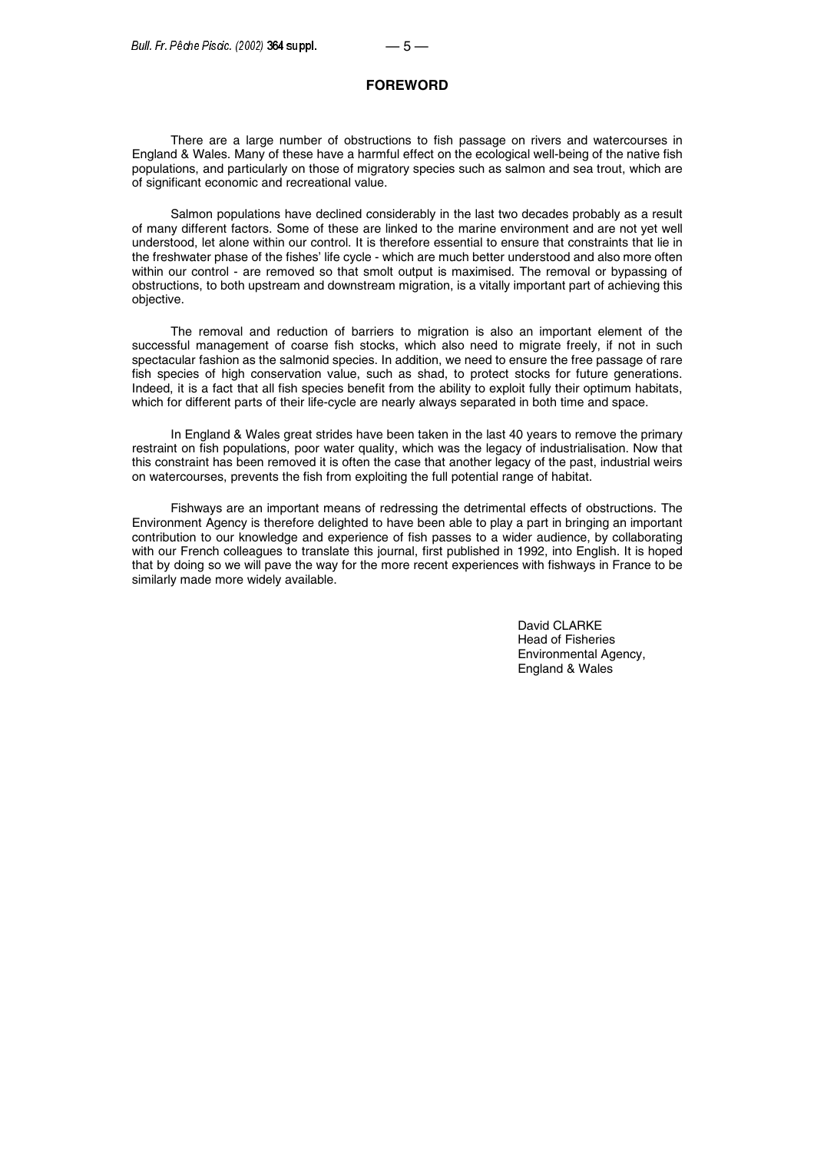#### **FOREWORD**

There are a large number of obstructions to fish passage on rivers and watercourses in England & Wales. Many of these have a harmful effect on the ecological well-being of the native fish populations, and particularly on those of migratory species such as salmon and sea trout, which are of significant economic and recreational value.

Salmon populations have declined considerably in the last two decades probably as a result of many different factors. Some of these are linked to the marine environment and are not yet well understood, let alone within our control. It is therefore essential to ensure that constraints that lie in the freshwater phase of the fishes' life cycle - which are much better understood and also more often within our control - are removed so that smolt output is maximised. The removal or bypassing of obstructions, to both upstream and downstream migration, is a vitally important part of achieving this objective.

The removal and reduction of barriers to migration is also an important element of the successful management of coarse fish stocks, which also need to migrate freely, if not in such spectacular fashion as the salmonid species. In addition, we need to ensure the free passage of rare fish species of high conservation value, such as shad, to protect stocks for future generations. Indeed, it is a fact that all fish species benefit from the ability to exploit fully their optimum habitats, which for different parts of their life-cycle are nearly always separated in both time and space.

In England & Wales great strides have been taken in the last 40 years to remove the primary restraint on fish populations, poor water quality, which was the legacy of industrialisation. Now that this constraint has been removed it is often the case that another legacy of the past, industrial weirs on watercourses, prevents the fish from exploiting the full potential range of habitat.

Fishways are an important means of redressing the detrimental effects of obstructions. The Environment Agency is therefore delighted to have been able to play a part in bringing an important contribution to our knowledge and experience of fish passes to a wider audience, by collaborating with our French colleagues to translate this journal, first published in 1992, into English. It is hoped that by doing so we will pave the way for the more recent experiences with fishways in France to be similarly made more widely available.

> David CLARKE Head of Fisheries Environmental Agency, England & Wales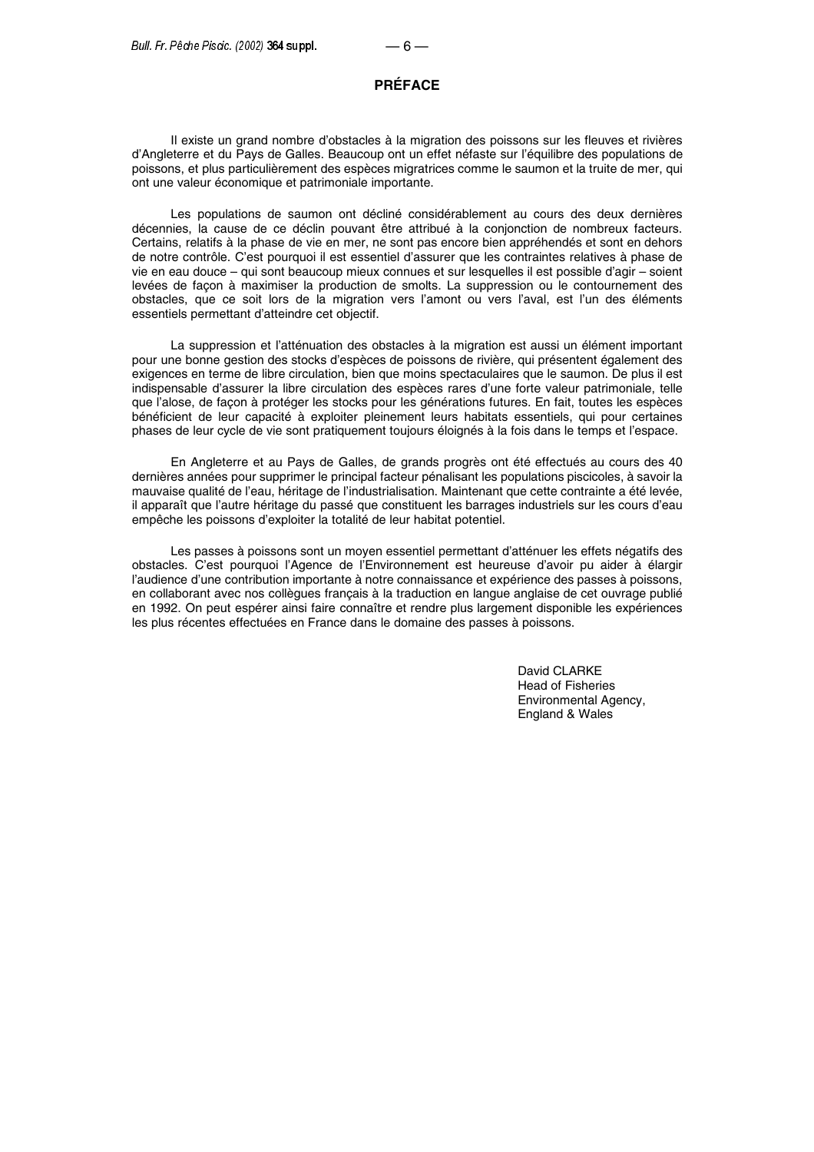## **PRÉFACE**

Il existe un grand nombre d'obstacles à la migration des poissons sur les fleuves et rivières d'Angleterre et du Pays de Galles. Beaucoup ont un effet néfaste sur l'équilibre des populations de poissons, et plus particulièrement des espèces migratrices comme le saumon et la truite de mer, qui ont une valeur économique et patrimoniale importante.

Les populations de saumon ont décliné considérablement au cours des deux dernières décennies, la cause de ce déclin pouvant être attribué à la conjonction de nombreux facteurs. Certains, relatifs à la phase de vie en mer, ne sont pas encore bien appréhendés et sont en dehors de notre contrôle. C'est pourquoi il est essentiel d'assurer que les contraintes relatives à phase de vie en eau douce – qui sont beaucoup mieux connues et sur lesquelles il est possible d'agir – soient levées de façon à maximiser la production de smolts. La suppression ou le contournement des obstacles, que ce soit lors de la migration vers l'amont ou vers l'aval, est l'un des éléments essentiels permettant d'atteindre cet objectif.

La suppression et l'atténuation des obstacles à la migration est aussi un élément important pour une bonne gestion des stocks d'espèces de poissons de rivière, qui présentent également des exigences en terme de libre circulation, bien que moins spectaculaires que le saumon. De plus il est indispensable d'assurer la libre circulation des espèces rares d'une forte valeur patrimoniale, telle que l'alose, de façon à protéger les stocks pour les générations futures. En fait, toutes les espèces bénéficient de leur capacité à exploiter pleinement leurs habitats essentiels, qui pour certaines phases de leur cycle de vie sont pratiquement toujours éloignés à la fois dans le temps et l'espace.

En Angleterre et au Pays de Galles, de grands progrès ont été effectués au cours des 40 dernières années pour supprimer le principal facteur pénalisant les populations piscicoles, à savoir la mauvaise qualité de l'eau, héritage de l'industrialisation. Maintenant que cette contrainte a été levée, il apparaît que l'autre héritage du passé que constituent les barrages industriels sur les cours d'eau empêche les poissons d'exploiter la totalité de leur habitat potentiel.

Les passes à poissons sont un moyen essentiel permettant d'atténuer les effets négatifs des obstacles. C'est pourquoi l'Agence de l'Environnement est heureuse d'avoir pu aider à élargir l'audience d'une contribution importante à notre connaissance et expérience des passes à poissons, en collaborant avec nos collègues français à la traduction en langue anglaise de cet ouvrage publié en 1992. On peut espérer ainsi faire connaître et rendre plus largement disponible les expériences les plus récentes effectuées en France dans le domaine des passes à poissons.

> David CLARKE Head of Fisheries Environmental Agency, England & Wales